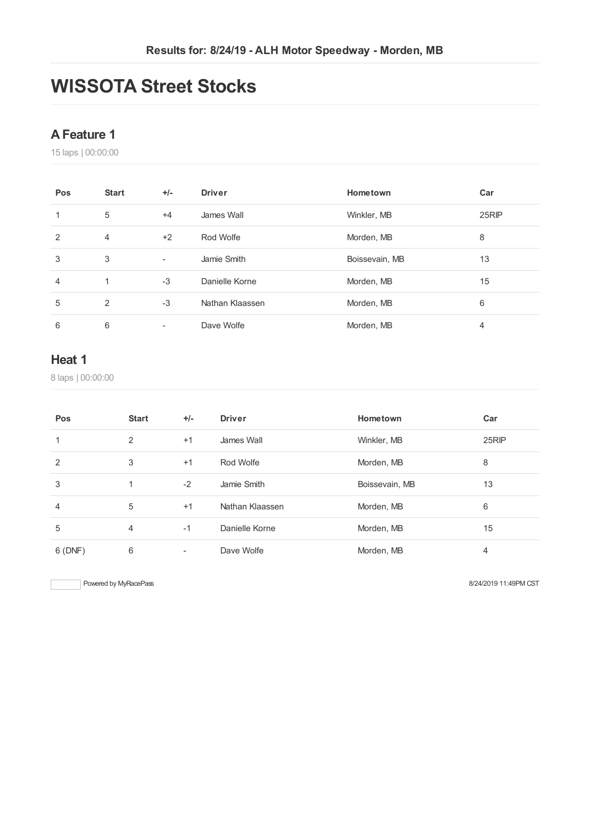# **WISSOTA Street Stocks**

#### **AFeature 1**

laps | 00:00:00

| Pos            | <b>Start</b>   | $+/-$                    | <b>Driver</b>   | Hometown       | Car   |
|----------------|----------------|--------------------------|-----------------|----------------|-------|
|                | 5              | $+4$                     | James Wall      | Winkler, MB    | 25RIP |
| $\overline{2}$ | $\overline{4}$ | $+2$                     | Rod Wolfe       | Morden, MB     | 8     |
| 3              | 3              | $\overline{\phantom{a}}$ | Jamie Smith     | Boissevain, MB | 13    |
| 4              | и              | $-3$                     | Danielle Korne  | Morden, MB     | 15    |
| 5              | $\mathcal{P}$  | $-3$                     | Nathan Klaassen | Morden, MB     | 6     |
| 6              | 6              | $\overline{\phantom{a}}$ | Dave Wolfe      | Morden, MB     | 4     |

#### **Heat 1**

laps | 00:00:00

| Pos            | <b>Start</b> | $+/-$ | <b>Driver</b>   | Hometown       | Car   |
|----------------|--------------|-------|-----------------|----------------|-------|
|                | 2            | $+1$  | James Wall      | Winkler, MB    | 25RIP |
| 2              | 3            | $+1$  | Rod Wolfe       | Morden, MB     | 8     |
| 3              |              | $-2$  | Jamie Smith     | Boissevain, MB | 13    |
| $\overline{4}$ | 5            | $+1$  | Nathan Klaassen | Morden, MB     | 6     |
| 5              | 4            | $-1$  | Danielle Korne  | Morden, MB     | 15    |
| 6(DNF)         | 6            | -     | Dave Wolfe      | Morden, MB     | 4     |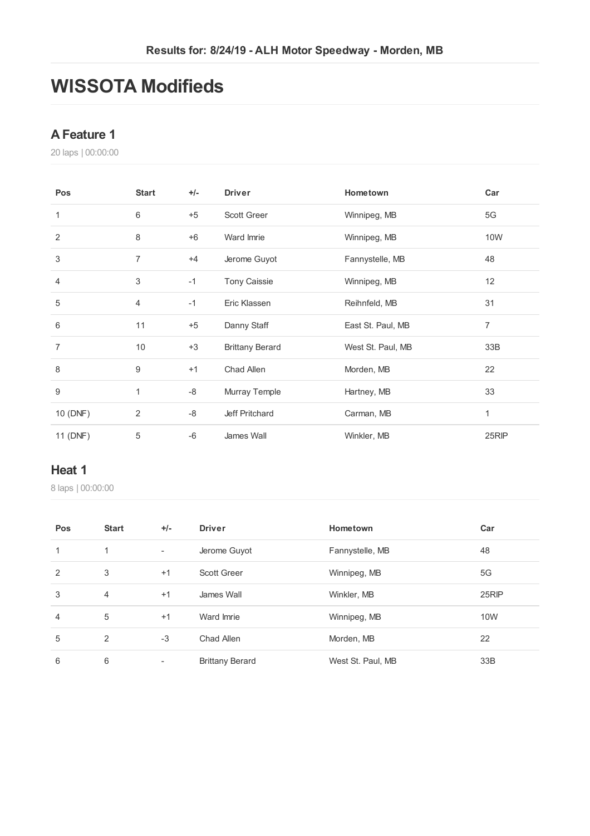# **WISSOTA Modifieds**

#### **AFeature 1**

laps | 00:00:00

| Pos              | <b>Start</b>     | $+/-$ | <b>Driver</b>          | Hometown          | Car            |
|------------------|------------------|-------|------------------------|-------------------|----------------|
| 1                | 6                | $+5$  | Scott Greer            | Winnipeg, MB      | 5G             |
| 2                | 8                | $+6$  | Ward Imrie             | Winnipeg, MB      | 10W            |
| 3                | $\overline{7}$   | $+4$  | Jerome Guyot           | Fannystelle, MB   | 48             |
| $\overline{4}$   | 3                | $-1$  | <b>Tony Caissie</b>    | Winnipeg, MB      | 12             |
| 5                | $\overline{4}$   | $-1$  | Eric Klassen           | Reihnfeld, MB     | 31             |
| 6                | 11               | $+5$  | Danny Staff            | East St. Paul, MB | $\overline{7}$ |
| $\overline{7}$   | 10               | $+3$  | <b>Brittany Berard</b> | West St. Paul, MB | 33B            |
| 8                | $\boldsymbol{9}$ | $+1$  | Chad Allen             | Morden, MB        | 22             |
| $\boldsymbol{9}$ | 1                | -8    | Murray Temple          | Hartney, MB       | 33             |
| 10 (DNF)         | 2                | -8    | Jeff Pritchard         | Carman, MB        | 1              |
| 11 (DNF)         | 5                | $-6$  | James Wall             | Winkler, MB       | 25RIP          |

#### **Heat 1**

| Pos            | <b>Start</b>   | $+/-$                    | <b>Driver</b>          | Hometown          | Car   |
|----------------|----------------|--------------------------|------------------------|-------------------|-------|
| 1              | 1              | $\overline{\phantom{a}}$ | Jerome Guyot           | Fannystelle, MB   | 48    |
| 2              | 3              | $+1$                     | <b>Scott Greer</b>     | Winnipeg, MB      | 5G    |
| 3              | $\overline{4}$ | $+1$                     | James Wall             | Winkler, MB       | 25RIP |
| $\overline{4}$ | 5              | $+1$                     | Ward Imrie             | Winnipeg, MB      | 10W   |
| 5              | 2              | $-3$                     | Chad Allen             | Morden, MB        | 22    |
| 6              | 6              | $\overline{\phantom{a}}$ | <b>Brittany Berard</b> | West St. Paul, MB | 33B   |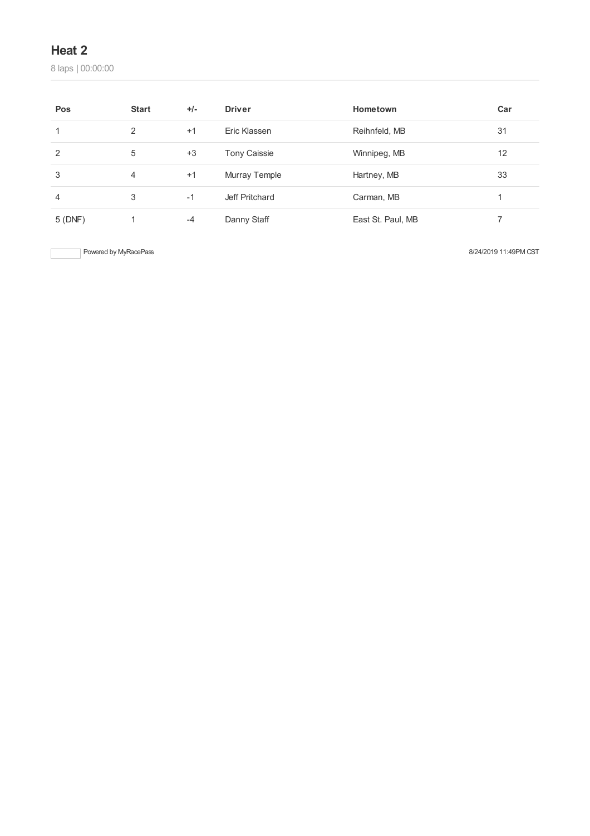laps | 00:00:00

| Pos     | <b>Start</b> | $+/-$ | <b>Driver</b>       | Hometown          | Car |
|---------|--------------|-------|---------------------|-------------------|-----|
|         | 2            | $+1$  | Eric Klassen        | Reihnfeld, MB     | 31  |
| 2       | 5            | $+3$  | <b>Tony Caissie</b> | Winnipeg, MB      | 12  |
| 3       | 4            | $+1$  | Murray Temple       | Hartney, MB       | 33  |
| 4       | 3            | $-1$  | Jeff Pritchard      | Carman, MB        |     |
| 5 (DNF) |              | $-4$  | Danny Staff         | East St. Paul, MB |     |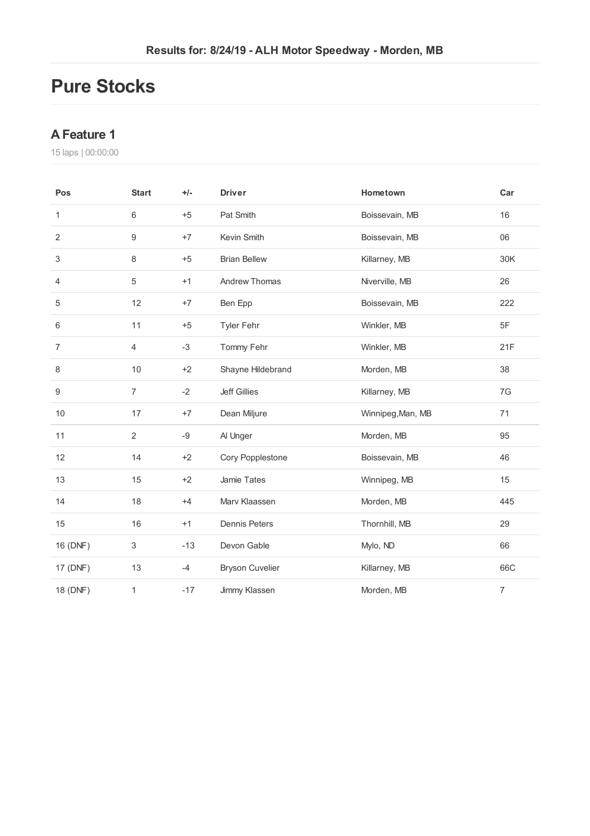# **Pure Stocks**

### **AFeature 1**

| Pos            | <b>Start</b>   | $+/-$ | <b>Driver</b>          | Hometown          | Car            |
|----------------|----------------|-------|------------------------|-------------------|----------------|
| 1              | 6              | $+5$  | Pat Smith              | Boissevain, MB    | 16             |
| $\overline{2}$ | 9              | $+7$  | Kevin Smith            | Boissevain, MB    | 06             |
| 3              | 8              | $+5$  | <b>Brian Bellew</b>    | Killarney, MB     | 30K            |
| 4              | 5              | $+1$  | Andrew Thomas          | Niverville, MB    | 26             |
| 5              | 12             | $+7$  | Ben Epp                | Boissevain, MB    | 222            |
| 6              | 11             | $+5$  | <b>Tyler Fehr</b>      | Winkler, MB       | 5F             |
| $\overline{7}$ | 4              | $-3$  | Tommy Fehr             | Winkler, MB       | 21F            |
| 8              | 10             | $+2$  | Shayne Hildebrand      | Morden, MB        | 38             |
| 9              | $\overline{7}$ | $-2$  | <b>Jeff Gillies</b>    | Killarney, MB     | 7G             |
| 10             | 17             | $+7$  | Dean Miljure           | Winnipeg, Man, MB | 71             |
| 11             | $\sqrt{2}$     | -9    | Al Unger               | Morden, MB        | 95             |
| 12             | 14             | $+2$  | Cory Popplestone       | Boissevain, MB    | 46             |
| 13             | 15             | $+2$  | Jamie Tates            | Winnipeg, MB      | 15             |
| 14             | 18             | $+4$  | Marv Klaassen          | Morden, MB        | 445            |
| 15             | 16             | $+1$  | <b>Dennis Peters</b>   | Thornhill, MB     | 29             |
| 16 (DNF)       | 3              | $-13$ | Devon Gable            | Mylo, ND          | 66             |
| 17 (DNF)       | 13             | $-4$  | <b>Bryson Cuvelier</b> | Killarney, MB     | 66C            |
| 18 (DNF)       | 1              | $-17$ | Jimmy Klassen          | Morden, MB        | $\overline{7}$ |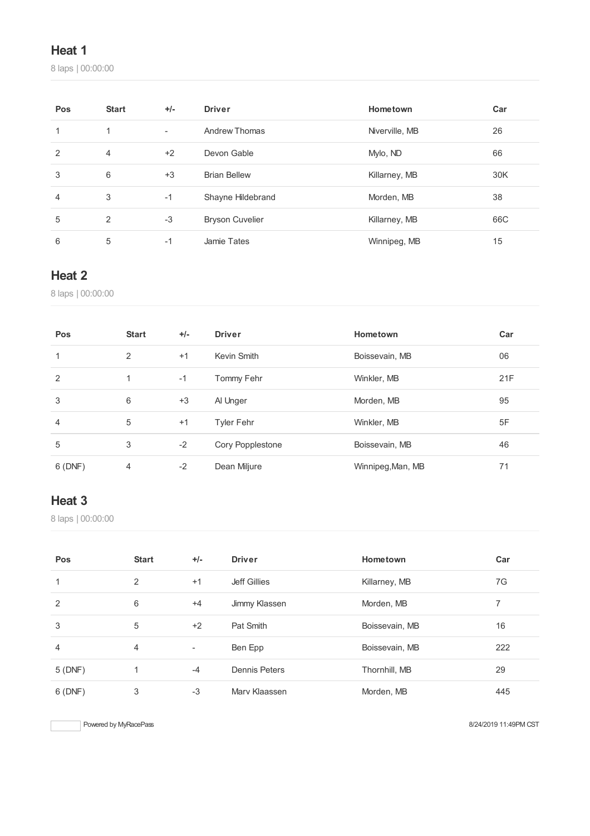laps | 00:00:00

| Pos | <b>Start</b>   | $+/-$                    | <b>Driver</b>          | Hometown       | Car |
|-----|----------------|--------------------------|------------------------|----------------|-----|
|     | 1              | $\overline{\phantom{a}}$ | Andrew Thomas          | Niverville, MB | 26  |
| 2   | $\overline{4}$ | $+2$                     | Devon Gable            | Mylo, ND       | 66  |
| 3   | 6              | $+3$                     | <b>Brian Bellew</b>    | Killarney, MB  | 30K |
| 4   | 3              | $-1$                     | Shayne Hildebrand      | Morden, MB     | 38  |
| 5   | 2              | $-3$                     | <b>Bryson Cuvelier</b> | Killarney, MB  | 66C |
| 6   | 5              | $-1$                     | Jamie Tates            | Winnipeg, MB   | 15  |

# **Heat 2**

laps | 00:00:00

| Pos            | <b>Start</b> | $+/-$ | <b>Driver</b>     | Hometown          | Car |
|----------------|--------------|-------|-------------------|-------------------|-----|
| 1              | 2            | $+1$  | Kevin Smith       | Boissevain, MB    | 06  |
| 2              | 1            | $-1$  | Tommy Fehr        | Winkler, MB       | 21F |
| 3              | 6            | $+3$  | Al Unger          | Morden, MB        | 95  |
| $\overline{4}$ | 5            | $+1$  | <b>Tyler Fehr</b> | Winkler, MB       | 5F  |
| 5              | 3            | $-2$  | Cory Popplestone  | Boissevain, MB    | 46  |
| 6(DNF)         | 4            | $-2$  | Dean Miljure      | Winnipeg, Man, MB | 71  |

# **Heat 3**

laps | 00:00:00

| Pos            | <b>Start</b> | $+/-$                    | <b>Driver</b>        | Hometown       | Car |
|----------------|--------------|--------------------------|----------------------|----------------|-----|
| 1              | 2            | $+1$                     | <b>Jeff Gillies</b>  | Killarney, MB  | 7G  |
| 2              | 6            | $+4$                     | Jimmy Klassen        | Morden, MB     |     |
| 3              | 5            | $+2$                     | Pat Smith            | Boissevain, MB | 16  |
| $\overline{4}$ | 4            | $\overline{\phantom{a}}$ | Ben Epp              | Boissevain, MB | 222 |
| 5(DNF)         |              | $-4$                     | <b>Dennis Peters</b> | Thornhill, MB  | 29  |
| 6(DNF)         | 3            | $-3$                     | Mary Klaassen        | Morden, MB     | 445 |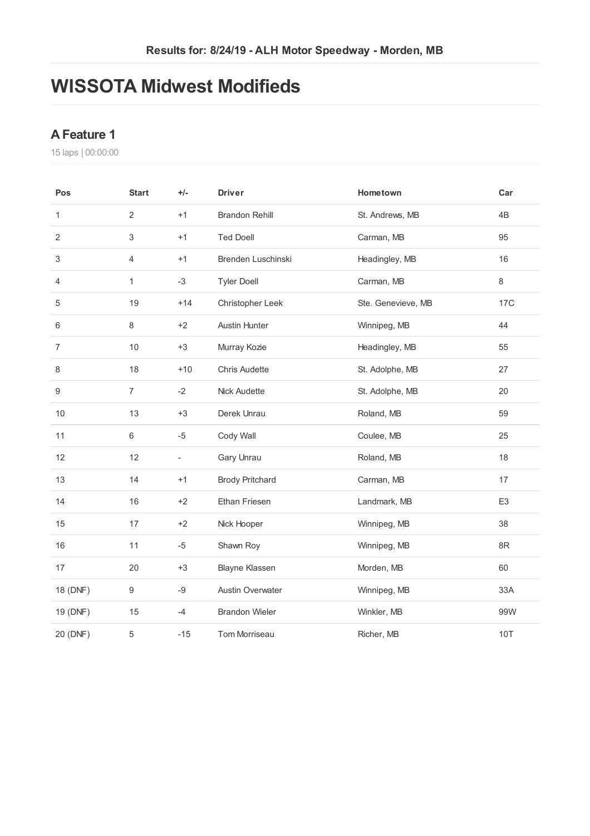# **WISSOTA Midwest Modifieds**

#### **AFeature 1**

| Pos              | <b>Start</b>     | $+/-$                    | <b>Driver</b>           | Hometown           | Car            |
|------------------|------------------|--------------------------|-------------------------|--------------------|----------------|
| 1                | $\overline{2}$   | $+1$                     | <b>Brandon Rehill</b>   | St. Andrews, MB    | 4B             |
| $\overline{2}$   | $\,$ 3 $\,$      | $+1$                     | <b>Ted Doell</b>        | Carman, MB         | 95             |
| 3                | $\overline{4}$   | $+1$                     | Brenden Luschinski      | Headingley, MB     | 16             |
| 4                | $\mathbf{1}$     | $-3$                     | <b>Tyler Doell</b>      | Carman, MB         | $\,8\,$        |
| 5                | 19               | $+14$                    | Christopher Leek        | Ste. Genevieve, MB | <b>17C</b>     |
| 6                | 8                | $+2$                     | <b>Austin Hunter</b>    | Winnipeg, MB       | 44             |
| $\overline{7}$   | 10               | $+3$                     | Murray Kozie            | Headingley, MB     | 55             |
| 8                | 18               | $+10$                    | <b>Chris Audette</b>    | St. Adolphe, MB    | 27             |
| $\boldsymbol{9}$ | $\overline{7}$   | $-2$                     | Nick Audette            | St. Adolphe, MB    | 20             |
| 10               | 13               | $+3$                     | Derek Unrau             | Roland, MB         | 59             |
| 11               | 6                | $-5$                     | Cody Wall               | Coulee, MB         | 25             |
| 12               | 12               | $\overline{\phantom{a}}$ | Gary Unrau              | Roland, MB         | 18             |
| 13               | 14               | $+1$                     | <b>Brody Pritchard</b>  | Carman, MB         | 17             |
| 14               | 16               | $+2$                     | Ethan Friesen           | Landmark, MB       | E <sub>3</sub> |
| 15               | 17               | $+2$                     | Nick Hooper             | Winnipeg, MB       | 38             |
| 16               | 11               | $-5$                     | Shawn Roy               | Winnipeg, MB       | $8\mathsf{R}$  |
| 17               | 20               | $+3$                     | <b>Blayne Klassen</b>   | Morden, MB         | 60             |
| 18 (DNF)         | $\boldsymbol{9}$ | $-9$                     | <b>Austin Overwater</b> | Winnipeg, MB       | 33A            |
| 19 (DNF)         | 15               | $-4$                     | <b>Brandon Wieler</b>   | Winkler, MB        | 99W            |
| 20 (DNF)         | 5                | $-15$                    | Tom Morriseau           | Richer, MB         | <b>10T</b>     |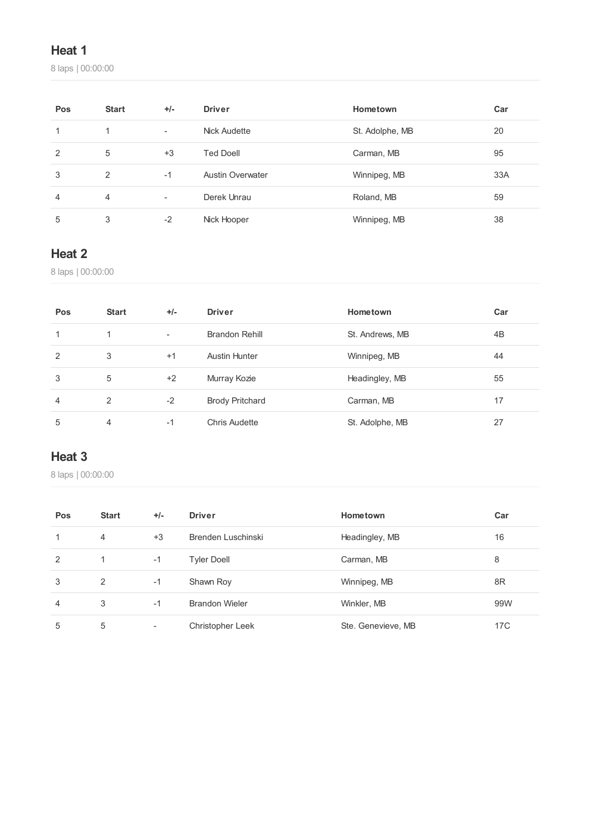laps | 00:00:00

| Pos            | <b>Start</b> | $+/-$                    | <b>Driver</b>           | Hometown        | Car |
|----------------|--------------|--------------------------|-------------------------|-----------------|-----|
| 1              | 1            | $\overline{\phantom{a}}$ | Nick Audette            | St. Adolphe, MB | 20  |
| 2              | 5            | $+3$                     | <b>Ted Doell</b>        | Carman, MB      | 95  |
| 3              | 2            | $-1$                     | <b>Austin Overwater</b> | Winnipeg, MB    | 33A |
| $\overline{4}$ | 4            | $\overline{\phantom{a}}$ | Derek Unrau             | Roland, MB      | 59  |
| 5              | 3            | $-2$                     | Nick Hooper             | Winnipeg, MB    | 38  |

# **Heat 2**

laps | 00:00:00

| Pos | <b>Start</b> | $+/-$                    | <b>Driver</b>          | Hometown        | Car |
|-----|--------------|--------------------------|------------------------|-----------------|-----|
|     |              | $\overline{\phantom{a}}$ | Brandon Rehill         | St. Andrews, MB | 4B  |
| 2   | 3            | $+1$                     | <b>Austin Hunter</b>   | Winnipeg, MB    | 44  |
| 3   | 5            | $+2$                     | Murray Kozie           | Headingley, MB  | 55  |
| 4   | 2            | $-2$                     | <b>Brody Pritchard</b> | Carman, MB      | 17  |
| 5   | 4            | $-1$                     | Chris Audette          | St. Adolphe, MB | 27  |

# **Heat 3**

| Pos            | <b>Start</b>   | $+/-$                    | <b>Driver</b>           | Hometown           | Car |
|----------------|----------------|--------------------------|-------------------------|--------------------|-----|
| 1              | $\overline{4}$ | $+3$                     | Brenden Luschinski      | Headingley, MB     | 16  |
| 2              |                | $-1$                     | <b>Tyler Doell</b>      | Carman, MB         | 8   |
| 3              | 2              | $-1$                     | Shawn Roy               | Winnipeg, MB       | 8R  |
| $\overline{4}$ | 3              | $-1$                     | <b>Brandon Wieler</b>   | Winkler, MB        | 99W |
| 5              | 5              | $\overline{\phantom{a}}$ | <b>Christopher Leek</b> | Ste. Genevieve, MB | 17C |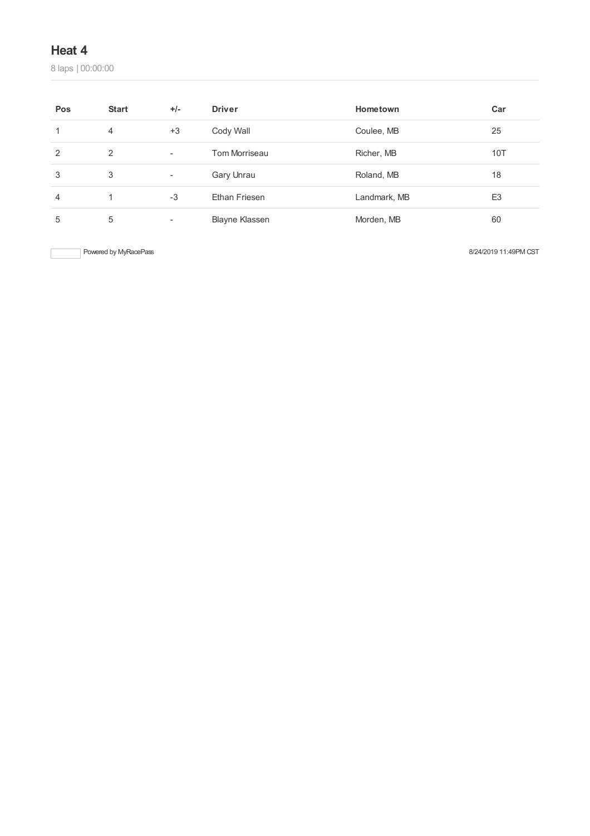laps | 00:00:00

| Pos | <b>Start</b> | $+/-$                    | <b>Driver</b>         | Hometown     | Car            |
|-----|--------------|--------------------------|-----------------------|--------------|----------------|
|     | 4            | $+3$                     | Cody Wall             | Coulee, MB   | 25             |
| 2   | 2            | $\overline{\phantom{a}}$ | Tom Morriseau         | Richer, MB   | 10T            |
| 3   | 3            | $\overline{\phantom{a}}$ | Gary Unrau            | Roland, MB   | 18             |
| 4   |              | $-3$                     | Ethan Friesen         | Landmark, MB | E <sub>3</sub> |
| 5   | 5            | $\overline{\phantom{a}}$ | <b>Blayne Klassen</b> | Morden, MB   | 60             |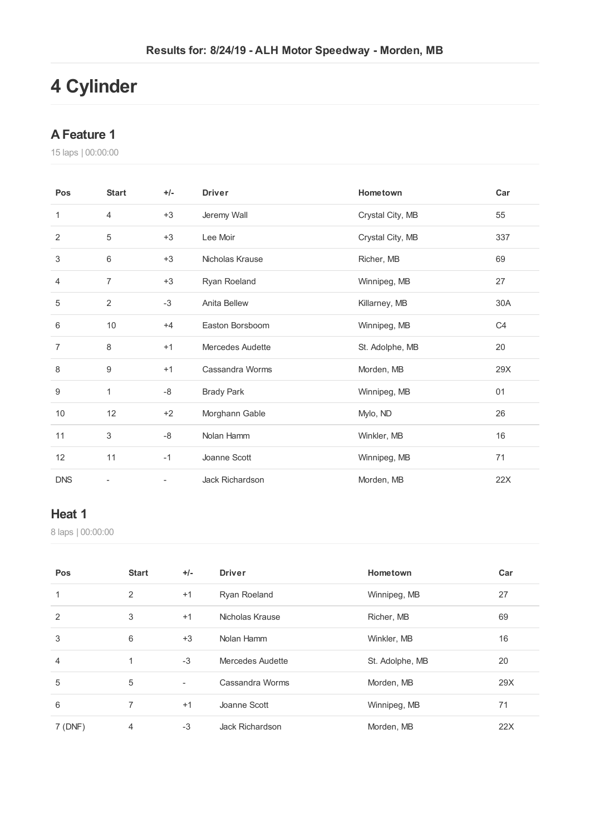# **Cylinder**

#### **AFeature 1**

laps | 00:00:00

| Pos            | <b>Start</b>   | $+/-$                    | <b>Driver</b>     | Hometown         | Car            |
|----------------|----------------|--------------------------|-------------------|------------------|----------------|
| 1              | 4              | $+3$                     | Jeremy Wall       | Crystal City, MB | 55             |
| $\overline{2}$ | 5              | $+3$                     | Lee Moir          | Crystal City, MB | 337            |
| 3              | 6              | $+3$                     | Nicholas Krause   | Richer, MB       | 69             |
| 4              | $\overline{7}$ | $+3$                     | Ryan Roeland      | Winnipeg, MB     | 27             |
| 5              | 2              | $-3$                     | Anita Bellew      | Killarney, MB    | 30A            |
| 6              | 10             | $+4$                     | Easton Borsboom   | Winnipeg, MB     | C <sub>4</sub> |
| $\overline{7}$ | 8              | $+1$                     | Mercedes Audette  | St. Adolphe, MB  | 20             |
| 8              | 9              | $+1$                     | Cassandra Worms   | Morden, MB       | 29X            |
| 9              | 1              | -8                       | <b>Brady Park</b> | Winnipeg, MB     | 01             |
| 10             | 12             | $+2$                     | Morghann Gable    | Mylo, ND         | 26             |
| 11             | 3              | -8                       | Nolan Hamm        | Winkler, MB      | 16             |
| 12             | 11             | $-1$                     | Joanne Scott      | Winnipeg, MB     | 71             |
| <b>DNS</b>     | ÷              | $\overline{\phantom{0}}$ | Jack Richardson   | Morden, MB       | 22X            |

#### **Heat 1**

| Pos    | <b>Start</b> | $+/-$                    | <b>Driver</b>       | Hometown        | Car |
|--------|--------------|--------------------------|---------------------|-----------------|-----|
|        | 2            | $+1$                     | <b>Ryan Roeland</b> | Winnipeg, MB    | 27  |
| 2      | 3            | $+1$                     | Nicholas Krause     | Richer, MB      | 69  |
| 3      | 6            | $+3$                     | Nolan Hamm          | Winkler, MB     | 16  |
| 4      | 1            | $-3$                     | Mercedes Audette    | St. Adolphe, MB | 20  |
| 5      | 5            | $\overline{\phantom{a}}$ | Cassandra Worms     | Morden, MB      | 29X |
| 6      | 7            | $+1$                     | Joanne Scott        | Winnipeg, MB    | 71  |
| 7(DNF) | 4            | $-3$                     | Jack Richardson     | Morden, MB      | 22X |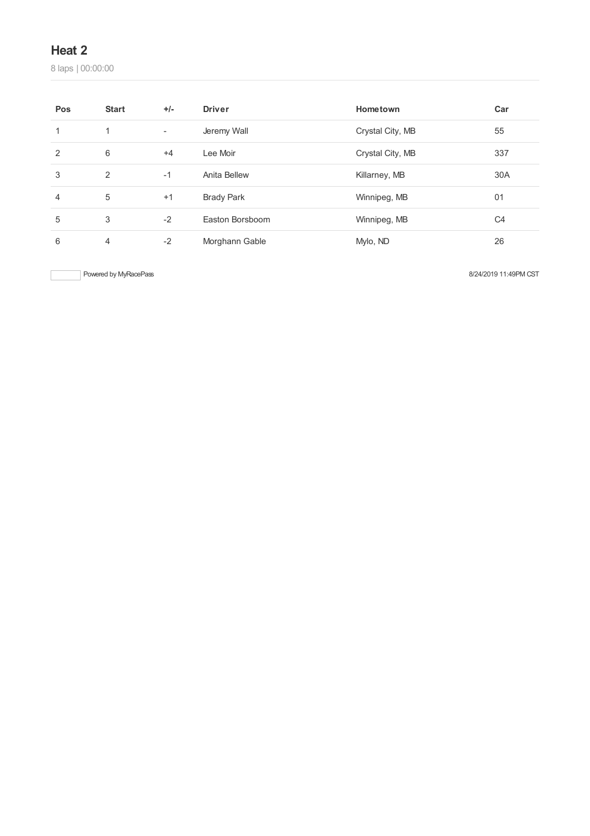laps | 00:00:00

| Pos | <b>Start</b>   | $+/-$                    | <b>Driver</b>     | Hometown         | Car            |
|-----|----------------|--------------------------|-------------------|------------------|----------------|
|     | 1              | $\overline{\phantom{a}}$ | Jeremy Wall       | Crystal City, MB | 55             |
| 2   | 6              | $+4$                     | Lee Moir          | Crystal City, MB | 337            |
| 3   | 2              | $-1$                     | Anita Bellew      | Killarney, MB    | 30A            |
| 4   | 5              | $+1$                     | <b>Brady Park</b> | Winnipeg, MB     | 01             |
| 5   | 3              | $-2$                     | Easton Borsboom   | Winnipeg, MB     | C <sub>4</sub> |
| 6   | $\overline{4}$ | $-2$                     | Morghann Gable    | Mylo, ND         | 26             |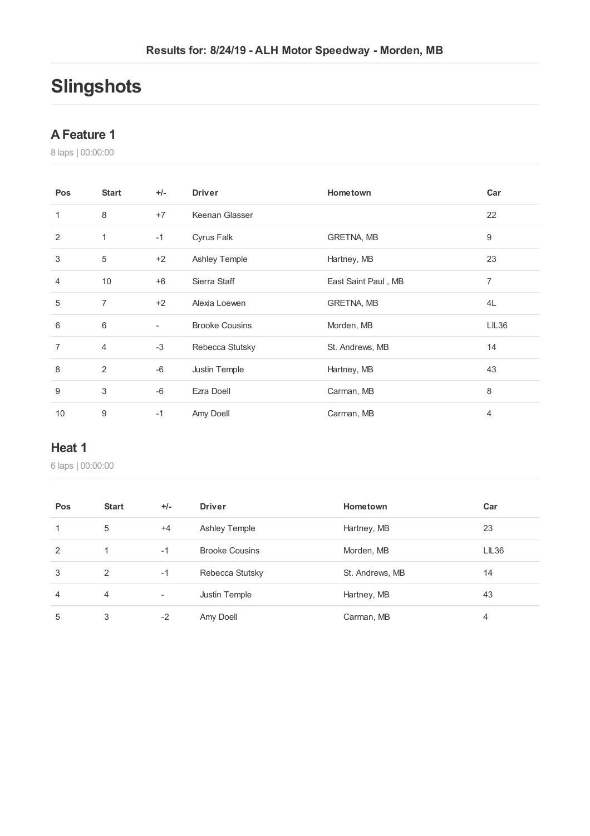# **Slingshots**

#### **AFeature 1**

laps | 00:00:00

| Pos            | <b>Start</b>   | $+/-$                    | <b>Driver</b>         | Hometown            | Car   |
|----------------|----------------|--------------------------|-----------------------|---------------------|-------|
| 1              | 8              | $+7$                     | Keenan Glasser        |                     | 22    |
| $\overline{2}$ | 1              | $-1$                     | Cyrus Falk            | <b>GRETNA, MB</b>   | 9     |
| 3              | 5              | $+2$                     | <b>Ashley Temple</b>  | Hartney, MB         | 23    |
| 4              | 10             | $+6$                     | Sierra Staff          | East Saint Paul, MB | 7     |
| 5              | $\overline{7}$ | $+2$                     | Alexia Loewen         | <b>GRETNA, MB</b>   | 4L    |
| 6              | 6              | $\overline{\phantom{a}}$ | <b>Brooke Cousins</b> | Morden, MB          | LIL36 |
| $\overline{7}$ | 4              | $-3$                     | Rebecca Stutsky       | St. Andrews, MB     | 14    |
| 8              | 2              | $-6$                     | Justin Temple         | Hartney, MB         | 43    |
| 9              | 3              | $-6$                     | Ezra Doell            | Carman, MB          | 8     |
| 10             | 9              | $-1$                     | Amy Doell             | Carman, MB          | 4     |

#### **Heat 1**

| Pos            | <b>Start</b>   | $+/-$                    | <b>Driver</b>         | Hometown        | Car   |
|----------------|----------------|--------------------------|-----------------------|-----------------|-------|
| 1              | 5              | $+4$                     | <b>Ashley Temple</b>  | Hartney, MB     | 23    |
| 2              |                | $-1$                     | <b>Brooke Cousins</b> | Morden, MB      | LIL36 |
| 3              | 2              | $-1$                     | Rebecca Stutsky       | St. Andrews, MB | 14    |
| $\overline{4}$ | $\overline{4}$ | $\overline{\phantom{a}}$ | Justin Temple         | Hartney, MB     | 43    |
| 5              | 3              | $-2$                     | Amy Doell             | Carman, MB      | 4     |